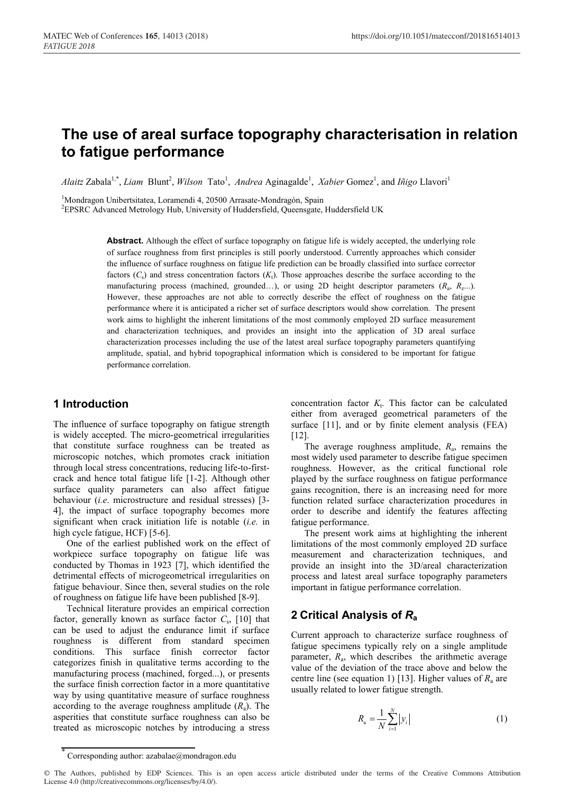# **The use of areal surface topography characterisation in relation to fatigue performance**

*Alaitz* Zabala<sup>1,\*</sup>, *Liam* Blunt<sup>2</sup>, *Wilson* Tato<sup>1</sup>, *Andrea* Aginagalde<sup>1</sup>, *Xabier* Gomez<sup>1</sup>, and *Iñigo* Llavori<sup>1</sup>

<sup>1</sup>Mondragon Unibertsitatea, Loramendi 4, 20500 Arrasate-Mondragón, Spain <sup>2</sup>EPSPC Advanced Metrology Hub University of Huddersfield, Queenscate

<sup>2</sup>EPSRC Advanced Metrology Hub, University of Huddersfield, Queensgate, Huddersfield UK

**Abstract.** Although the effect of surface topography on fatigue life is widely accepted, the underlying role of surface roughness from first principles is still poorly understood. Currently approaches which consider the influence of surface roughness on fatigue life prediction can be broadly classified into surface corrector factors  $(C_s)$  and stress concentration factors  $(K_t)$ . Those approaches describe the surface according to the manufacturing process (machined, grounded…), or using 2D height descriptor parameters (*R*a, *R*z...). However, these approaches are not able to correctly describe the effect of roughness on the fatigue performance where it is anticipated a richer set of surface descriptors would show correlation. The present work aims to highlight the inherent limitations of the most commonly employed 2D surface measurement and characterization techniques, and provides an insight into the application of 3D areal surface characterization processes including the use of the latest areal surface topography parameters quantifying amplitude, spatial, and hybrid topographical information which is considered to be important for fatigue performance correlation.

# **1 Introduction**

The influence of surface topography on fatigue strength is widely accepted. The micro-geometrical irregularities that constitute surface roughness can be treated as microscopic notches, which promotes crack initiation through local stress concentrations, reducing life-to-firstcrack and hence total fatigue life [1-2]. Although other surface quality parameters can also affect fatigue behaviour (*i.e*. microstructure and residual stresses) [3- 4], the impact of surface topography becomes more significant when crack initiation life is notable (*i.e.* in high cycle fatigue, HCF) [5-6].

One of the earliest published work on the effect of workpiece surface topography on fatigue life was conducted by Thomas in 1923 [7], which identified the detrimental effects of microgeometrical irregularities on fatigue behaviour. Since then, several studies on the role of roughness on fatigue life have been published [8-9].

Technical literature provides an empirical correction factor, generally known as surface factor  $C_s$ , [10] that can be used to adjust the endurance limit if surface roughness is different from standard specimen conditions. This surface finish corrector factor categorizes finish in qualitative terms according to the manufacturing process (machined, forged...), or presents the surface finish correction factor in a more quantitative way by using quantitative measure of surface roughness according to the average roughness amplitude  $(R_a)$ . The asperities that constitute surface roughness can also be treated as microscopic notches by introducing a stress

concentration factor  $K_t$ . This factor can be calculated either from averaged geometrical parameters of the surface [11], and or by finite element analysis (FEA) [12].

The average roughness amplitude, *R*a, remains the most widely used parameter to describe fatigue specimen roughness. However, as the critical functional role played by the surface roughness on fatigue performance gains recognition, there is an increasing need for more function related surface characterization procedures in order to describe and identify the features affecting fatigue performance.

The present work aims at highlighting the inherent limitations of the most commonly employed 2D surface measurement and characterization techniques, and provide an insight into the 3D/areal characterization process and latest areal surface topography parameters important in fatigue performance correlation.

# **2 Critical Analysis of** *R***a**

Current approach to characterize surface roughness of fatigue specimens typically rely on a single amplitude parameter,  $R_a$ , which describes the arithmetic average value of the deviation of the trace above and below the centre line (see equation 1) [13]. Higher values of  $R_a$  are usually related to lower fatigue strength.

$$
R_{\rm a} = \frac{1}{N} \sum_{i=1}^{N} |y_i|
$$
 (1)

Corresponding author: azabalae@mondragon.edu

<sup>©</sup> The Authors, published by EDP Sciences. This is an open access article distributed under the terms of the Creative Commons Attribution License 4.0 (http://creativecommons.org/licenses/by/4.0/).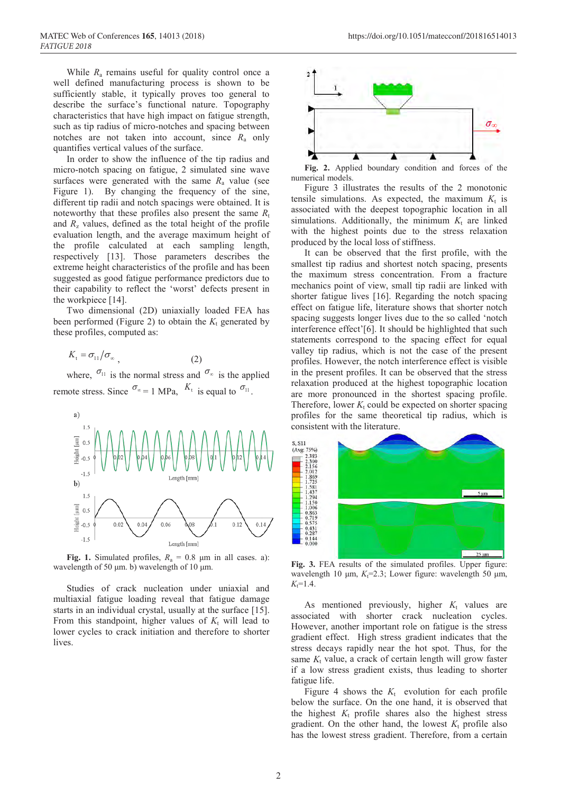While *R*<sup>a</sup> remains useful for quality control once a well defined manufacturing process is shown to be sufficiently stable, it typically proves too general to describe the surface's functional nature. Topography characteristics that have high impact on fatigue strength, such as tip radius of micro-notches and spacing between notches are not taken into account, since  $R_a$  only quantifies vertical values of the surface.

In order to show the influence of the tip radius and micro-notch spacing on fatigue, 2 simulated sine wave surfaces were generated with the same  $R_a$  value (see Figure 1). By changing the frequency of the sine, different tip radii and notch spacings were obtained. It is noteworthy that these profiles also present the same  $R_t$ and  $R_z$  values, defined as the total height of the profile evaluation length, and the average maximum height of the profile calculated at each sampling length, respectively [13]. Those parameters describes the extreme height characteristics of the profile and has been suggested as good fatigue performance predictors due to their capability to reflect the 'worst' defects present in the workpiece [14].

Two dimensional (2D) uniaxially loaded FEA has been performed (Figure 2) to obtain the  $K_t$  generated by these profiles, computed as:

$$
K_{t} = \sigma_{11}/\sigma_{\infty} \tag{2}
$$

where,  $\sigma_{11}$  is the normal stress and  $\sigma_{\infty}$  is the applied remote stress. Since  $\sigma_{\infty} = 1$  MPa,  $K_t$  is equal to  $\sigma_{11}$ .



**Fig. 1.** Simulated profiles,  $R_a = 0.8$  μm in all cases. a): wavelength of 50 μm. b) wavelength of 10 μm.

Studies of crack nucleation under uniaxial and multiaxial fatigue loading reveal that fatigue damage starts in an individual crystal, usually at the surface [15]. From this standpoint, higher values of  $K_t$  will lead to lower cycles to crack initiation and therefore to shorter lives.



**Fig. 2.** Applied boundary condition and forces of the numerical models.

Figure 3 illustrates the results of the 2 monotonic tensile simulations. As expected, the maximum  $K_t$  is associated with the deepest topographic location in all simulations. Additionally, the minimum  $K_t$  are linked with the highest points due to the stress relaxation produced by the local loss of stiffness.

It can be observed that the first profile, with the smallest tip radius and shortest notch spacing, presents the maximum stress concentration. From a fracture mechanics point of view, small tip radii are linked with shorter fatigue lives [16]. Regarding the notch spacing effect on fatigue life, literature shows that shorter notch spacing suggests longer lives due to the so called 'notch interference effect'[6]. It should be highlighted that such statements correspond to the spacing effect for equal valley tip radius, which is not the case of the present profiles. However, the notch interference effect is visible in the present profiles. It can be observed that the stress relaxation produced at the highest topographic location are more pronounced in the shortest spacing profile. Therefore, lower  $K_t$  could be expected on shorter spacing profiles for the same theoretical tip radius, which is consistent with the literature.



**Fig. 3.** FEA results of the simulated profiles. Upper figure: wavelength 10 μm,  $K_t$ =2.3; Lower figure: wavelength 50 μm,  $K_t = 1.4$ .

As mentioned previously, higher  $K_t$  values are associated with shorter crack nucleation cycles. However, another important role on fatigue is the stress gradient effect. High stress gradient indicates that the stress decays rapidly near the hot spot. Thus, for the same  $K_t$  value, a crack of certain length will grow faster if a low stress gradient exists, thus leading to shorter fatigue life.

Figure 4 shows the  $K_t$  evolution for each profile below the surface. On the one hand, it is observed that the highest  $K_t$  profile shares also the highest stress gradient. On the other hand, the lowest  $K_t$  profile also has the lowest stress gradient. Therefore, from a certain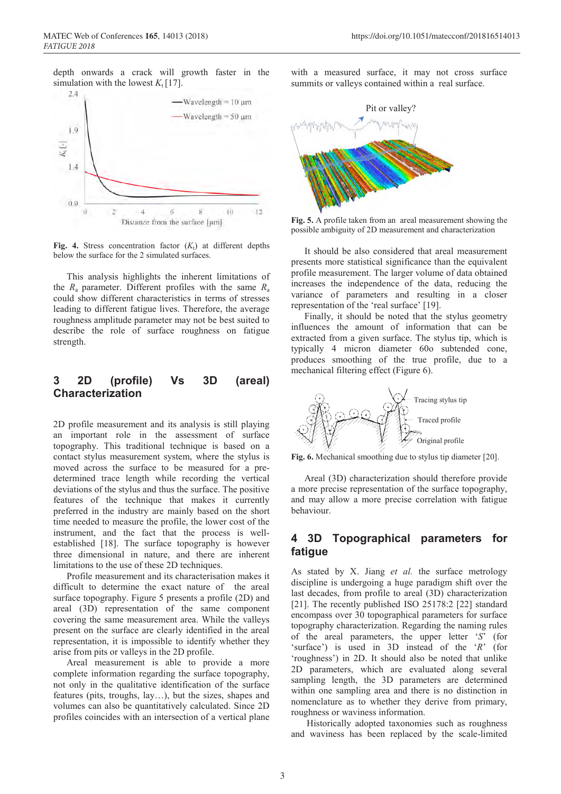depth onwards a crack will growth faster in the



**Fig. 4.** Stress concentration factor  $(K_t)$  at different depths below the surface for the 2 simulated surfaces.

This analysis highlights the inherent limitations of the  $R_a$  parameter. Different profiles with the same  $R_a$ could show different characteristics in terms of stresses leading to different fatigue lives. Therefore, the average roughness amplitude parameter may not be best suited to describe the role of surface roughness on fatigue strength.

# **3 2D (profile) Vs 3D (areal) Characterization**

2D profile measurement and its analysis is still playing an important role in the assessment of surface topography. This traditional technique is based on a contact stylus measurement system, where the stylus is moved across the surface to be measured for a predetermined trace length while recording the vertical deviations of the stylus and thus the surface. The positive features of the technique that makes it currently preferred in the industry are mainly based on the short time needed to measure the profile, the lower cost of the instrument, and the fact that the process is wellestablished [18]. The surface topography is however three dimensional in nature, and there are inherent limitations to the use of these 2D techniques.

Profile measurement and its characterisation makes it difficult to determine the exact nature of the areal surface topography. Figure 5 presents a profile (2D) and areal (3D) representation of the same component covering the same measurement area. While the valleys present on the surface are clearly identified in the areal representation, it is impossible to identify whether they arise from pits or valleys in the 2D profile.

Areal measurement is able to provide a more complete information regarding the surface topography, not only in the qualitative identification of the surface features (pits, troughs, lay…), but the sizes, shapes and volumes can also be quantitatively calculated. Since 2D profiles coincides with an intersection of a vertical plane

with a measured surface, it may not cross surface summits or valleys contained within a real surface.



**Fig. 5.** A profile taken from an areal measurement showing the possible ambiguity of 2D measurement and characterization

It should be also considered that areal measurement presents more statistical significance than the equivalent profile measurement. The larger volume of data obtained increases the independence of the data, reducing the variance of parameters and resulting in a closer representation of the 'real surface' [19].

Finally, it should be noted that the stylus geometry influences the amount of information that can be extracted from a given surface. The stylus tip, which is typically 4 micron diameter 60o subtended cone, produces smoothing of the true profile, due to a mechanical filtering effect (Figure 6).



**Fig. 6.** Mechanical smoothing due to stylus tip diameter [20].

Areal (3D) characterization should therefore provide a more precise representation of the surface topography, and may allow a more precise correlation with fatigue behaviour.

# **4 3D Topographical parameters for fatigue**

As stated by X. Jiang *et al.* the surface metrology discipline is undergoing a huge paradigm shift over the last decades, from profile to areal (3D) characterization [21]. The recently published ISO 25178:2 [22] standard encompass over 30 topographical parameters for surface topography characterization. Regarding the naming rules of the areal parameters, the upper letter '*S*' (for 'surface') is used in 3D instead of the '*R*' (for 'roughness') in 2D. It should also be noted that unlike 2D parameters, which are evaluated along several sampling length, the 3D parameters are determined within one sampling area and there is no distinction in nomenclature as to whether they derive from primary, roughness or waviness information.

Historically adopted taxonomies such as roughness and waviness has been replaced by the scale-limited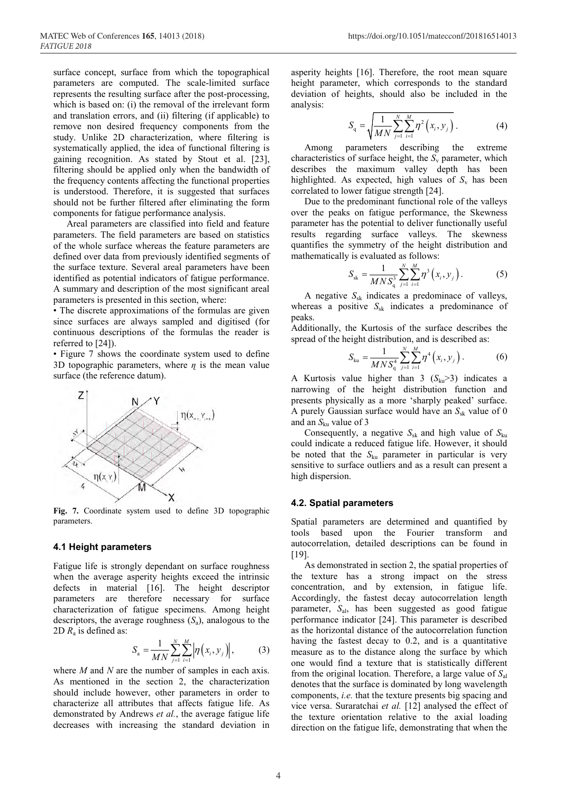study. Unlike 2D characterization, where filtering is systematically applied, the idea of functional filtering is gaining recognition. As stated by Stout et al. [23], filtering should be applied only when the bandwidth of the frequency contents affecting the functional properties is understood. Therefore, it is suggested that surfaces should not be further filtered after eliminating the form components for fatigue performance analysis.

Areal parameters are classified into field and feature parameters. The field parameters are based on statistics of the whole surface whereas the feature parameters are defined over data from previously identified segments of the surface texture. Several areal parameters have been identified as potential indicators of fatigue performance. A summary and description of the most significant areal parameters is presented in this section, where:

• The discrete approximations of the formulas are given since surfaces are always sampled and digitised (for continuous descriptions of the formulas the reader is referred to [24]).

• Figure 7 shows the coordinate system used to define 3D topographic parameters, where  $\eta$  is the mean value surface (the reference datum).



**Fig. 7.** Coordinate system used to define 3D topographic parameters.

#### **4.1 Height parameters**

Fatigue life is strongly dependant on surface roughness when the average asperity heights exceed the intrinsic defects in material [16]. The height descriptor parameters are therefore necessary for surface characterization of fatigue specimens. Among height descriptors, the average roughness (*S*a), analogous to the 2D *R*<sup>a</sup> is defined as:

$$
S_{\rm a} = \frac{1}{MN} \sum_{j=1}^{N} \sum_{i=1}^{M} \left| \eta \left( x_i, y_j \right) \right|, \tag{3}
$$

where *M* and *N* are the number of samples in each axis. As mentioned in the section 2, the characterization should include however, other parameters in order to characterize all attributes that affects fatigue life. As demonstrated by Andrews *et al.*, the average fatigue life decreases with increasing the standard deviation in

asperity heights [16]. Therefore, the root mean square height parameter, which corresponds to the standard deviation of heights, should also be included in the analysis:

$$
S_{\mathbf{q}} = \sqrt{\frac{1}{MN} \sum_{j=1}^{N} \sum_{i=1}^{M} \eta^2 (x_i, y_j)}.
$$
 (4)

Among parameters describing the extreme characteristics of surface height, the  $S_v$  parameter, which describes the maximum valley depth has been highlighted. As expected, high values of  $S<sub>v</sub>$  has been correlated to lower fatigue strength [24].

Due to the predominant functional role of the valleys over the peaks on fatigue performance, the Skewness parameter has the potential to deliver functionally useful results regarding surface valleys. The skewness quantifies the symmetry of the height distribution and mathematically is evaluated as follows:

$$
S_{\rm sk} = \frac{1}{MNS_{\rm q}^3} \sum_{j=1}^{N} \sum_{i=1}^{M} \eta^3(x_i, y_j).
$$
 (5)

A negative *S*sk indicates a predominace of valleys, whereas a positive  $S_{sk}$  indicates a predominance of peaks.

Additionally, the Kurtosis of the surface describes the spread of the height distribution, and is described as:

$$
S_{\text{ku}} = \frac{1}{MNS_{\text{q}}^{4}} \sum_{j=1}^{N} \sum_{i=1}^{M} \eta^{4} (x_{i}, y_{j}). \tag{6}
$$

A Kurtosis value higher than 3  $(S_{ku} > 3)$  indicates a narrowing of the height distribution function and presents physically as a more 'sharply peaked' surface. A purely Gaussian surface would have an  $S_{sk}$  value of 0 and an  $S_{ku}$  value of 3

Consequently, a negative  $S_{sk}$  and high value of  $S_{ku}$ could indicate a reduced fatigue life. However, it should be noted that the *S*ku parameter in particular is very sensitive to surface outliers and as a result can present a high dispersion.

#### **4.2. Spatial parameters**

Spatial parameters are determined and quantified by tools based upon the Fourier transform and autocorrelation, detailed descriptions can be found in [19].

As demonstrated in section 2, the spatial properties of the texture has a strong impact on the stress concentration, and by extension, in fatigue life. Accordingly, the fastest decay autocorrelation length parameter, *S*al, has been suggested as good fatigue performance indicator [24]. This parameter is described as the horizontal distance of the autocorrelation function having the fastest decay to 0.2, and is a quantitative measure as to the distance along the surface by which one would find a texture that is statistically different from the original location. Therefore, a large value of *S*al denotes that the surface is dominated by long wavelength components, *i.e.* that the texture presents big spacing and vice versa. Suraratchai *et al.* [12] analysed the effect of the texture orientation relative to the axial loading direction on the fatigue life, demonstrating that when the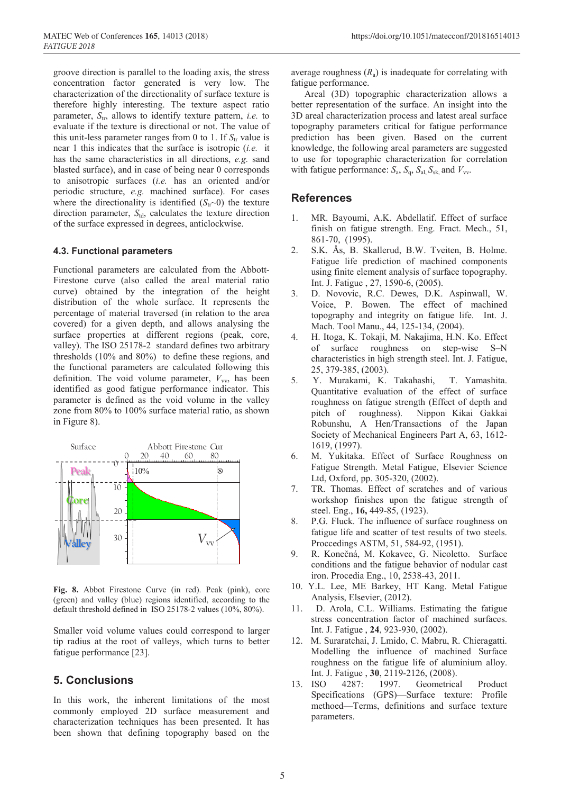groove direction is parallel to the loading axis, the stress concentration factor generated is very low. The characterization of the directionality of surface texture is therefore highly interesting. The texture aspect ratio parameter,  $S_{tr}$ , allows to identify texture pattern, *i.e.* to evaluate if the texture is directional or not. The value of this unit-less parameter ranges from 0 to 1. If  $S_{tr}$  value is near 1 this indicates that the surface is isotropic (*i.e.* it has the same characteristics in all directions, *e.g.* sand blasted surface), and in case of being near 0 corresponds to anisotropic surfaces (*i.e.* has an oriented and/or periodic structure, *e.g.* machined surface). For cases where the directionality is identified  $(S<sub>tr</sub>~0)$  the texture direction parameter,  $S_{td}$ , calculates the texture direction of the surface expressed in degrees, anticlockwise.

#### **4.3. Functional parameters**

Functional parameters are calculated from the Abbott-Firestone curve (also called the areal material ratio curve) obtained by the integration of the height distribution of the whole surface. It represents the percentage of material traversed (in relation to the area covered) for a given depth, and allows analysing the surface properties at different regions (peak, core, valley). The ISO 25178-2 standard defines two arbitrary thresholds (10% and 80%) to define these regions, and the functional parameters are calculated following this definition. The void volume parameter,  $V_{\text{vv}}$  has been identified as good fatigue performance indicator. This parameter is defined as the void volume in the valley zone from 80% to 100% surface material ratio, as shown in Figure 8).



**Fig. 8.** Abbot Firestone Curve (in red). Peak (pink), core (green) and valley (blue) regions identified, according to the default threshold defined in ISO 25178-2 values (10%, 80%).

Smaller void volume values could correspond to larger tip radius at the root of valleys, which turns to better fatigue performance [23].

# **5. Conclusions**

In this work, the inherent limitations of the most commonly employed 2D surface measurement and characterization techniques has been presented. It has been shown that defining topography based on the average roughness  $(R_a)$  is inadequate for correlating with fatigue performance.

Areal (3D) topographic characterization allows a better representation of the surface. An insight into the 3D areal characterization process and latest areal surface topography parameters critical for fatigue performance prediction has been given. Based on the current knowledge, the following areal parameters are suggested to use for topographic characterization for correlation with fatigue performance:  $S_a$ ,  $S_a$ ,  $S_{a}$ ,  $S_{s}$  and  $V_{vv}$ .

### **References**

- 1. MR. Bayoumi, A.K. Abdellatif. Effect of surface finish on fatigue strength. Eng. Fract. Mech., 51, 861-70, (1995).
- 2. S.K. Ås, B. Skallerud, B.W. Tveiten, B. Holme. Fatigue life prediction of machined components using finite element analysis of surface topography. Int. J. Fatigue , 27, 1590-6, (2005).
- 3. D. Novovic, R.C. Dewes, D.K. Aspinwall, W. Voice, P. Bowen. The effect of machined topography and integrity on fatigue life. Int. J. Mach. Tool Manu., 44, 125-134, (2004).
- 4. H. Itoga, K. Tokaji, M. Nakajima, H.N. Ko. Effect of surface roughness on step-wise S–N characteristics in high strength steel. Int. J. Fatigue, 25, 379-385, (2003).
- 5. Y. Murakami, K. Takahashi, T. Yamashita. Quantitative evaluation of the effect of surface roughness on fatigue strength (Effect of depth and pitch of roughness). Nippon Kikai Gakkai Robunshu, A Hen/Transactions of the Japan Society of Mechanical Engineers Part A, 63, 1612- 1619, (1997).
- 6. M. Yukitaka. Effect of Surface Roughness on Fatigue Strength. Metal Fatigue, Elsevier Science Ltd, Oxford, pp. 305-320, (2002).
- 7. TR. Thomas. Effect of scratches and of various workshop finishes upon the fatigue strength of steel. Eng., **16,** 449-85, (1923).
- 8. P.G. Fluck. The influence of surface roughness on fatigue life and scatter of test results of two steels. Proccedings ASTM, 51, 584-92, (1951).
- 9. R. Konečná, M. Kokavec, G. Nicoletto. Surface conditions and the fatigue behavior of nodular cast iron. Procedia Eng., 10, 2538-43, 2011.
- 10. Y.L. Lee, ME Barkey, HT Kang. Metal Fatigue Analysis, Elsevier, (2012).
- 11. D. Arola, C.L. Williams. Estimating the fatigue stress concentration factor of machined surfaces. Int. J. Fatigue , **24**, 923-930, (2002).
- 12. M. Suraratchai, J. Lmido, C. Mabru, R. Chieragatti. Modelling the influence of machined Surface roughness on the fatigue life of aluminium alloy. Int. J. Fatigue , **30**, 2119-2126, (2008).
- 13. ISO 4287: 1997. Geometrical Product Specifications (GPS)—Surface texture: Profile methoed—Terms, definitions and surface texture parameters.